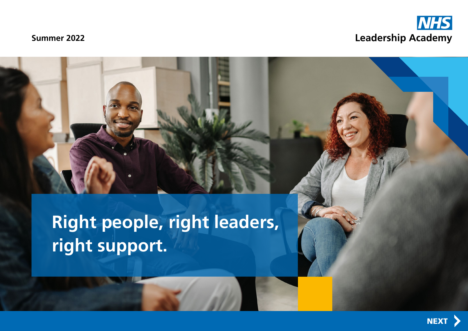

# **Summer 2022**

**Right people, right leaders, right support.**

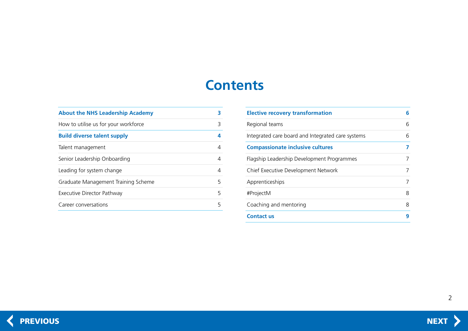# **Contents**

<span id="page-1-0"></span>

| <b>About the NHS Leadership Academy</b> |   |
|-----------------------------------------|---|
| How to utilise us for your workforce    | 3 |
| <b>Build diverse talent supply</b>      | 4 |
| Talent management                       | 4 |
| Senior Leadership Onboarding            | 4 |
| Leading for system change               | 4 |
| Graduate Management Training Scheme     | 5 |
| Executive Director Pathway              | 5 |
| Career conversations                    | 5 |
|                                         |   |

| <b>Elective recovery transformation</b>           | 6 |
|---------------------------------------------------|---|
| Regional teams                                    | 6 |
| Integrated care board and Integrated care systems | 6 |
| <b>Compassionate inclusive cultures</b>           |   |
| Flagship Leadership Development Programmes        |   |
| Chief Executive Development Network               |   |
| Apprenticeships                                   |   |
| #ProjectM                                         | 8 |
| Coaching and mentoring                            | 8 |
| <b>Contact us</b>                                 | Q |

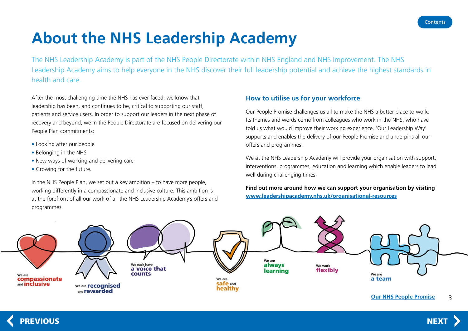# <span id="page-2-0"></span>**About the NHS Leadership Academy**

The NHS Leadership Academy is part of the NHS People Directorate within NHS England and NHS Improvement. The NHS Leadership Academy aims to help everyone in the NHS discover their full leadership potential and achieve the highest standards in health and care.

After the most challenging time the NHS has ever faced, we know that leadership has been, and continues to be, critical to supporting our staff, patients and service users. In order to support our leaders in the next phase of recovery and beyond, we in the People Directorate are focused on delivering our People Plan commitments:

- Looking after our people
- Belonging in the NHS
- New ways of working and delivering care
- Growing for the future.

In the NHS People Plan, we set out a key ambition – to have more people, working differently in a compassionate and inclusive culture. This ambition is at the forefront of all our work of all the NHS Leadership Academy's offers and programmes.

# **How to utilise us for your workforce**

Our People Promise challenges us all to make the NHS a better place to work. Its themes and words come from colleagues who work in the NHS, who have told us what would improve their working experience. 'Our Leadership Way' supports and enables the delivery of our People Promise and underpins all our offers and programmes.

We at the NHS Leadership Academy will provide your organisation with support, interventions, programmes, education and learning which enable leaders to lead well during challenging times.

**Find out more around how we can support your organisation by visiting www.leadershipacademy.nhs.uk/organisational-resources**



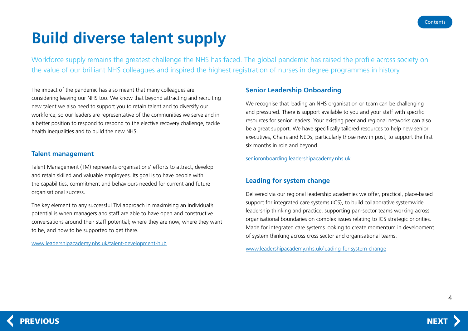# <span id="page-3-0"></span>**Build diverse talent supply**

Workforce supply remains the greatest challenge the NHS has faced. The global pandemic has raised the profile across society on the value of our brilliant NHS colleagues and inspired the highest registration of nurses in degree programmes in history.

The impact of the pandemic has also meant that many colleagues are considering leaving our NHS too. We know that beyond attracting and recruiting new talent we also need to support you to retain talent and to diversify our workforce, so our leaders are representative of the communities we serve and in a better position to respond to respond to the elective recovery challenge, tackle health inequalities and to build the new NHS.

# **Talent management**

Talent Management (TM) represents organisations' efforts to attract, develop and retain skilled and valuable employees. Its goal is to have people with the capabilities, commitment and behaviours needed for current and future organisational success.

The key element to any successful TM approach in maximising an individual's potential is when managers and staff are able to have open and constructive conversations around their staff potential; where they are now, where they want to be, and how to be supported to get there.

[www.leadershipacademy.nhs.uk/talent-development-hub](https://www.leadershipacademy.nhs.uk/talent-development-hub/)

# **Senior Leadership Onboarding**

We recognise that leading an NHS organisation or team can be challenging and pressured. There is support available to you and your staff with specific resources for senior leaders. Your existing peer and regional networks can also be a great support. We have specifically tailored resources to help new senior executives, Chairs and NEDs, particularly those new in post, to support the first six months in role and beyond.

[senioronboarding.leadershipacademy.nhs.uk](http://senioronboarding.leadershipacademy.nhs.uk)

# **Leading for system change**

Delivered via our regional leadership academies we offer, practical, place-based support for integrated care systems (ICS), to build collaborative systemwide leadership thinking and practice, supporting pan-sector teams working across organisational boundaries on complex issues relating to ICS strategic priorities. Made for integrated care systems looking to create momentum in development of system thinking across cross sector and organisational teams.

www.leadershipacademy.nhs.uk/leading-for-system-change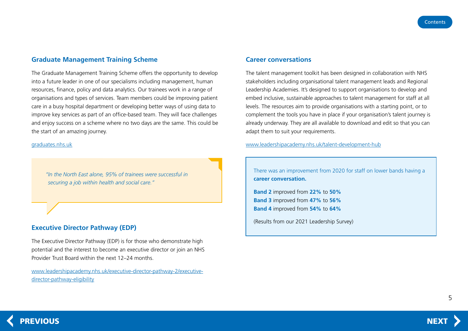### <span id="page-4-0"></span>**Graduate Management Training Scheme**

The Graduate Management Training Scheme offers the opportunity to develop into a future leader in one of our specialisms including management, human resources, finance, policy and data analytics. Our trainees work in a range of organisations and types of services. Team members could be improving patient care in a busy hospital department or developing better ways of using data to improve key services as part of an office-based team. They will face challenges and enjoy success on a scheme where no two days are the same. This could be the start of an amazing journey.

[graduates.nhs.uk](http://graduates.nhs.uk)

*"In the North East alone, 95% of trainees were successful in securing a job within health and social care."*

### **Executive Director Pathway (EDP)**

The Executive Director Pathway (EDP) is for those who demonstrate high potential and the interest to become an executive director or join an NHS Provider Trust Board within the next 12–24 months.

www.leadershipacademy.nhs.uk/executive-director-pathway-2/executivedirector-pathway-eligibility

#### **Career conversations**

The talent management toolkit has been designed in collaboration with NHS stakeholders including organisational talent management leads and Regional Leadership Academies. It's designed to support organisations to develop and embed inclusive, sustainable approaches to talent management for staff at all levels. The resources aim to provide organisations with a starting point, or to complement the tools you have in place if your organisation's talent journey is already underway. They are all available to download and edit so that you can adapt them to suit your requirements.

[www.leadershipacademy.nhs.uk/talent-development-hub](https://www.leadershipacademy.nhs.uk/talent-development-hub/)

There was an improvement from 2020 for staff on lower bands having a **career conversation.**

**Band 2** improved from **22%** to **50% Band 3** improved from **47%** to **56% Band 4** improved from **54%** to **64%**

(Results from our 2021 Leadership Survey)

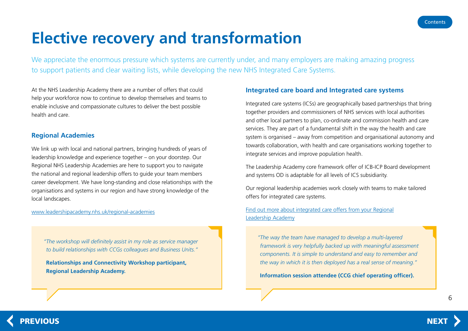# <span id="page-5-0"></span>**Elective recovery and transformation**

We appreciate the enormous pressure which systems are currently under, and many employers are making amazing progress to support patients and clear waiting lists, while developing the new NHS Integrated Care Systems.

At the NHS Leadership Academy there are a number of offers that could help your workforce now to continue to develop themselves and teams to enable inclusive and compassionate cultures to deliver the best possible health and care.

## **Regional Academies**

We link up with local and national partners, bringing hundreds of years of leadership knowledge and experience together – on your doorstep. Our Regional NHS Leadership Academies are here to support you to navigate the national and regional leadership offers to guide your team members career development. We have long-standing and close relationships with the organisations and systems in our region and have strong knowledge of the local landscapes.

#### www.leadershipacademy.nhs.uk/regional-academies

*"The workshop will definitely assist in my role as service manager to build relationships with CCGs colleagues and Business Units."*

**Relationships and Connectivity Workshop participant, Regional Leadership Academy.**

## **Integrated care board and Integrated care systems**

Integrated care systems (ICSs) are geographically based partnerships that bring together providers and commissioners of NHS services with local authorities and other local partners to plan, co-ordinate and commission health and care services. They are part of a fundamental shift in the way the health and care system is organised – away from competition and organisational autonomy and towards collaboration, with health and care organisations working together to integrate services and improve population health.

The Leadership Academy core framework offer of ICB-ICP Board development and systems OD is adaptable for all levels of ICS subsidiarity.

Our regional leadership academies work closely with teams to make tailored offers for integrated care systems.

[Find out more about integrated care offers from your Regional](https://www.leadershipacademy.nhs.uk/regional-academies/) [Leadership Academy](https://www.leadershipacademy.nhs.uk/regional-academies/)

*"The way the team have managed to develop a multi-layered framework is very helpfully backed up with meaningful assessment components. It is simple to understand and easy to remember and the way in which it is then deployed has a real sense of meaning."*

 **Information session attendee (CCG chief operating officer).**

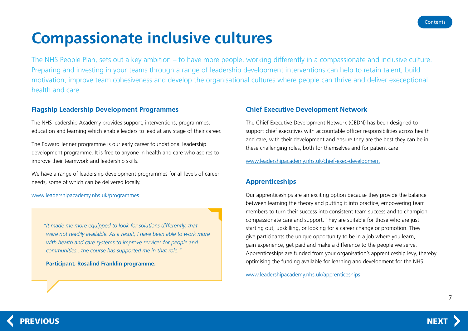# <span id="page-6-0"></span>**Compassionate inclusive cultures**

The NHS People Plan, sets out a key ambition – to have more people, working differently in a compassionate and inclusive culture. Preparing and investing in your teams through a range of leadership development interventions can help to retain talent, build motivation, improve team cohesiveness and develop the organisational cultures where people can thrive and deliver execeptional health and care.

# **Flagship Leadership Development Programmes**

The NHS leadership Academy provides support, interventions, programmes, education and learning which enable leaders to lead at any stage of their career.

The Edward Jenner programme is our early career foundational leadership development programme. It is free to anyone in health and care who aspires to improve their teamwork and leadership skills.

We have a range of leadership development programmes for all levels of career needs, some of which can be delivered locally.

www.leadershipacademy.nhs.uk/programmes

*"It made me more equipped to look for solutions differently, that were not readily available. As a result, I have been able to work more with health and care systems to improve services for people and communities...the course has supported me in that role."*

 **Participant, Rosalind Franklin programme.**

## **Chief Executive Development Network**

The Chief Executive Development Network (CEDN) has been designed to support chief executives with accountable officer responsibilities across health and care, with their development and ensure they are the best they can be in these challenging roles, both for themselves and for patient care.

www.leadershipacademy.nhs.uk/chief-exec-development

# **Apprenticeships**

Our apprenticeships are an exciting option because they provide the balance between learning the theory and putting it into practice, empowering team members to turn their success into consistent team success and to champion compassionate care and support. They are suitable for those who are just starting out, upskilling, or looking for a career change or promotion. They give participants the unique opportunity to be in a job where you learn, gain experience, get paid and make a difference to the people we serve. Apprenticeships are funded from your organisation's apprenticeship levy, thereby optimising the funding available for learning and development for the NHS.

[www.leadershipacademy.nhs.uk/apprenticeships](https://www.leadershipacademy.nhs.uk/apprenticeships/)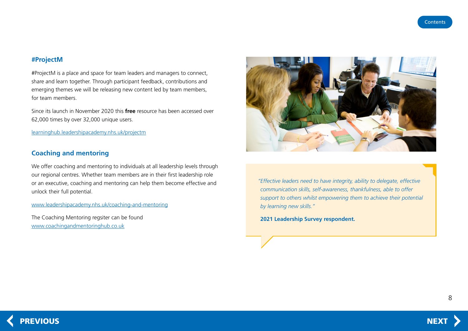### <span id="page-7-0"></span>**#ProjectM**

#ProjectM is a place and space for team leaders and managers to connect, share and learn together. Through participant feedback, contributions and emerging themes we will be releasing new content led by team members, for team members.

Since its launch in November 2020 this **free** resource has been accessed over 62,000 times by over 32,000 unique users.

[learninghub.leadershipacademy.nhs.uk/project](https://learninghub.leadershipacademy.nhs.uk/projectm/)m

## **Coaching and mentoring**

We offer coaching and mentoring to individuals at all leadership levels through our regional centres. Whether team members are in their first leadership role or an executive, coaching and mentoring can help them become effective and unlock their full potential.

#### [www.leadershipacademy.nhs.uk/coaching-and-mentoring](https://www.leadershipacademy.nhs.uk/resources/coaching-register)

The Coaching Mentoring regsiter can be found [www.coachingandmentoringhub.co.uk](https://www.coachingandmentoringhub.co.uk)



*"Effective leaders need to have integrity, ability to delegate, effective communication skills, self-awareness, thankfulness, able to offer support to others whilst empowering them to achieve their potential by learning new skills."*

 **2021 Leadership Survey respondent.**